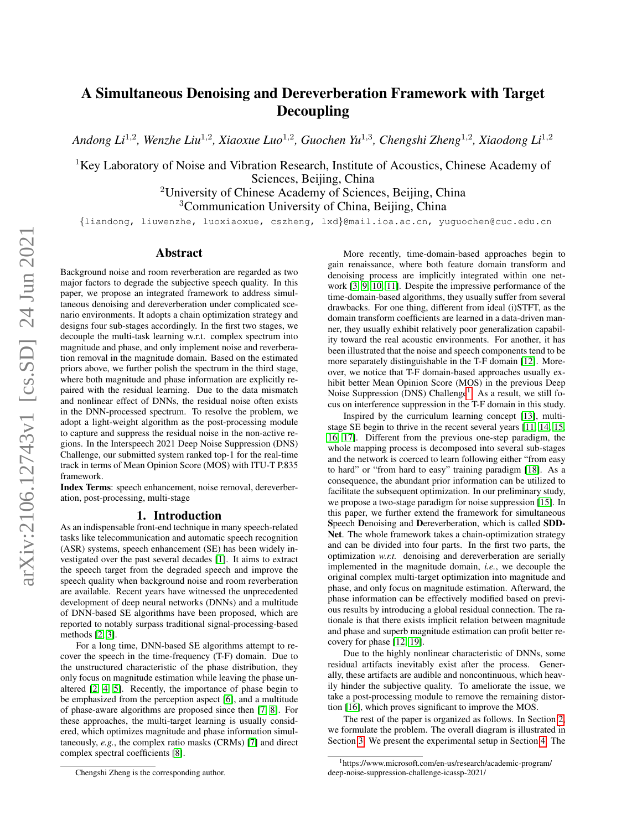# A Simultaneous Denoising and Dereverberation Framework with Target Decoupling

Andong Li<sup>1,2</sup>, Wenzhe Liu<sup>1,2</sup>, Xiaoxue Luo<sup>1,2</sup>, Guochen Yu<sup>1,3</sup>, Chengshi Zheng<sup>1,2</sup>, Xiaodong Li<sup>1,2</sup>

<sup>1</sup>Key Laboratory of Noise and Vibration Research, Institute of Acoustics, Chinese Academy of Sciences, Beijing, China

<sup>2</sup>University of Chinese Academy of Sciences, Beijing, China

<sup>3</sup>Communication University of China, Beijing, China

{liandong, liuwenzhe, luoxiaoxue, cszheng, lxd}@mail.ioa.ac.cn, yuguochen@cuc.edu.cn

# Abstract

Background noise and room reverberation are regarded as two major factors to degrade the subjective speech quality. In this paper, we propose an integrated framework to address simultaneous denoising and dereverberation under complicated scenario environments. It adopts a chain optimization strategy and designs four sub-stages accordingly. In the first two stages, we decouple the multi-task learning w.r.t. complex spectrum into magnitude and phase, and only implement noise and reverberation removal in the magnitude domain. Based on the estimated priors above, we further polish the spectrum in the third stage, where both magnitude and phase information are explicitly repaired with the residual learning. Due to the data mismatch and nonlinear effect of DNNs, the residual noise often exists in the DNN-processed spectrum. To resolve the problem, we adopt a light-weight algorithm as the post-processing module to capture and suppress the residual noise in the non-active regions. In the Interspeech 2021 Deep Noise Suppression (DNS) Challenge, our submitted system ranked top-1 for the real-time track in terms of Mean Opinion Score (MOS) with ITU-T P.835 framework.

Index Terms: speech enhancement, noise removal, dereverberation, post-processing, multi-stage

# 1. Introduction

As an indispensable front-end technique in many speech-related tasks like telecommunication and automatic speech recognition (ASR) systems, speech enhancement (SE) has been widely investigated over the past several decades [\[1\]](#page-4-0). It aims to extract the speech target from the degraded speech and improve the speech quality when background noise and room reverberation are available. Recent years have witnessed the unprecedented development of deep neural networks (DNNs) and a multitude of DNN-based SE algorithms have been proposed, which are reported to notably surpass traditional signal-processing-based methods [\[2,](#page-4-1) [3\]](#page-4-2).

For a long time, DNN-based SE algorithms attempt to recover the speech in the time-frequency (T-F) domain. Due to the unstructured characteristic of the phase distribution, they only focus on magnitude estimation while leaving the phase unaltered [\[2,](#page-4-1) [4,](#page-4-3) [5\]](#page-4-4). Recently, the importance of phase begin to be emphasized from the perception aspect [\[6\]](#page-4-5), and a multitude of phase-aware algorithms are proposed since then [\[7,](#page-4-6) [8\]](#page-4-7). For these approaches, the multi-target learning is usually considered, which optimizes magnitude and phase information simultaneously, *e.g.*, the complex ratio masks (CRMs) [\[7\]](#page-4-6) and direct complex spectral coefficients [\[8\]](#page-4-7).

More recently, time-domain-based approaches begin to gain renaissance, where both feature domain transform and denoising process are implicitly integrated within one network [\[3,](#page-4-2) [9,](#page-4-8) [10,](#page-4-9) [11\]](#page-4-10). Despite the impressive performance of the time-domain-based algorithms, they usually suffer from several drawbacks. For one thing, different from ideal (i)STFT, as the domain transform coefficients are learned in a data-driven manner, they usually exhibit relatively poor generalization capability toward the real acoustic environments. For another, it has been illustrated that the noise and speech components tend to be more separately distinguishable in the T-F domain [\[12\]](#page-4-11). Moreover, we notice that T-F domain-based approaches usually exhibit better Mean Opinion Score (MOS) in the previous Deep Noise Suppression (DNS) Challenge<sup>[1](#page-0-0)</sup>. As a result, we still focus on interference suppression in the T-F domain in this study.

Inspired by the curriculum learning concept [\[13\]](#page-4-12), multistage SE begin to thrive in the recent several years [\[11,](#page-4-10) [14,](#page-4-13) [15,](#page-4-14) [16,](#page-4-15) [17\]](#page-4-16). Different from the previous one-step paradigm, the whole mapping process is decomposed into several sub-stages and the network is coerced to learn following either "from easy to hard" or "from hard to easy" training paradigm [\[18\]](#page-4-17). As a consequence, the abundant prior information can be utilized to facilitate the subsequent optimization. In our preliminary study, we propose a two-stage paradigm for noise suppression [\[15\]](#page-4-14). In this paper, we further extend the framework for simultaneous Speech Denoising and Dereverberation, which is called SDD-Net. The whole framework takes a chain-optimization strategy and can be divided into four parts. In the first two parts, the optimization *w.r.t.* denoising and dereverberation are serially implemented in the magnitude domain, *i.e.*, we decouple the original complex multi-target optimization into magnitude and phase, and only focus on magnitude estimation. Afterward, the phase information can be effectively modified based on previous results by introducing a global residual connection. The rationale is that there exists implicit relation between magnitude and phase and superb magnitude estimation can profit better recovery for phase [\[12,](#page-4-11) [19\]](#page-4-18).

Due to the highly nonlinear characteristic of DNNs, some residual artifacts inevitably exist after the process. Generally, these artifacts are audible and noncontinuous, which heavily hinder the subjective quality. To ameliorate the issue, we take a post-processing module to remove the remaining distortion [\[16\]](#page-4-15), which proves significant to improve the MOS.

The rest of the paper is organized as follows. In Section [2,](#page-1-0) we formulate the problem. The overall diagram is illustrated in Section [3.](#page-1-1) We present the experimental setup in Section [4.](#page-2-0) The

Chengshi Zheng is the corresponding author.

<span id="page-0-0"></span><sup>1</sup>https://www.microsoft.com/en-us/research/academic-program/ deep-noise-suppression-challenge-icassp-2021/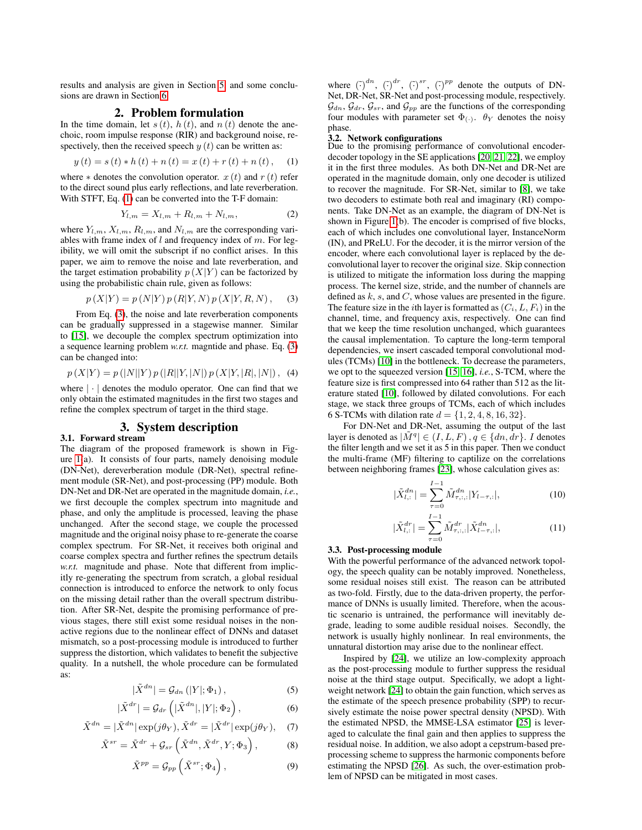results and analysis are given in Section [5,](#page-2-1) and some conclusions are drawn in Section [6.](#page-3-0)

# 2. Problem formulation

<span id="page-1-0"></span>In the time domain, let  $s(t)$ ,  $h(t)$ , and  $n(t)$  denote the anechoic, room impulse response (RIR) and background noise, respectively, then the received speech  $y(t)$  can be written as:

<span id="page-1-2"></span>
$$
y(t) = s(t) * h(t) + n(t) = x(t) + r(t) + n(t), \quad (1)
$$

where  $*$  denotes the convolution operator.  $x(t)$  and  $r(t)$  refer to the direct sound plus early reflections, and late reverberation. With STFT, Eq. [\(1\)](#page-1-2) can be converted into the T-F domain:

$$
Y_{l,m} = X_{l,m} + R_{l,m} + N_{l,m}, \tag{2}
$$

where  $Y_{l,m}$ ,  $X_{l,m}$ ,  $R_{l,m}$ , and  $N_{l,m}$  are the corresponding variables with frame index of  $l$  and frequency index of  $m$ . For legibility, we will omit the subscript if no conflict arises. In this paper, we aim to remove the noise and late reverberation, and the target estimation probability  $p(X|Y)$  can be factorized by using the probabilistic chain rule, given as follows:

<span id="page-1-3"></span>
$$
p(X|Y) = p(N|Y) p(R|Y, N) p(X|Y, R, N),
$$
 (3)

From Eq. [\(3\)](#page-1-3), the noise and late reverberation components can be gradually suppressed in a stagewise manner. Similar to [\[15\]](#page-4-14), we decouple the complex spectrum optimization into a sequence learning problem *w.r.t.* magntide and phase. Eq. [\(3\)](#page-1-3) can be changed into:

$$
p(X|Y) = p(|N||Y) p(|R||Y, |N|) p(X|Y, |R|, |N|), (4)
$$

where  $|\cdot|$  denotes the modulo operator. One can find that we only obtain the estimated magnitudes in the first two stages and refine the complex spectrum of target in the third stage.

# 3. System description

#### <span id="page-1-1"></span>3.1. Forward stream

The diagram of the proposed framework is shown in Figure  $1(a)$ . It consists of four parts, namely denoising module (DN-Net), dereverberation module (DR-Net), spectral refinement module (SR-Net), and post-processing (PP) module. Both DN-Net and DR-Net are operated in the magnitude domain, *i.e.*, we first decouple the complex spectrum into magnitude and phase, and only the amplitude is processed, leaving the phase unchanged. After the second stage, we couple the processed magnitude and the original noisy phase to re-generate the coarse complex spectrum. For SR-Net, it receives both original and coarse complex spectra and further refines the spectrum details *w.r.t.* magnitude and phase. Note that different from implicitly re-generating the spectrum from scratch, a global residual connection is introduced to enforce the network to only focus on the missing detail rather than the overall spectrum distribution. After SR-Net, despite the promising performance of previous stages, there still exist some residual noises in the nonactive regions due to the nonlinear effect of DNNs and dataset mismatch, so a post-processing module is introduced to further suppress the distortion, which validates to benefit the subjective quality. In a nutshell, the whole procedure can be formulated as:

$$
|\tilde{X}^{dn}| = \mathcal{G}_{dn}(|Y|; \Phi_1), \qquad (5)
$$

$$
|\tilde{X}^{dr}| = \mathcal{G}_{dr}\left(|\tilde{X}^{dn}|, |Y|; \Phi_2\right),\tag{6}
$$

$$
\tilde{X}^{dn} = |\tilde{X}^{dn}| \exp(j\theta_Y), \tilde{X}^{dr} = |\tilde{X}^{dr}| \exp(j\theta_Y), \quad (7)
$$

$$
\tilde{X}^{sr} = \tilde{X}^{dr} + \mathcal{G}_{sr}(\tilde{X}^{dn}, \tilde{X}^{dr}, Y; \Phi_3), \tag{8}
$$

$$
\tilde{X}^{pp} = \mathcal{G}_{pp} \left( \tilde{X}^{sr}; \Phi_4 \right), \tag{9}
$$

where  $(\tilde{e})^{dn}$ ,  $(\tilde{e})^{dr}$ ,  $(\tilde{e})^{sr}$ ,  $(\tilde{e})^{pp}$  denote the outputs of DN-Net, DR-Net, SR-Net and post-processing module, respectively.  $\mathcal{G}_{dn}$ ,  $\mathcal{G}_{dr}$ ,  $\mathcal{G}_{sr}$ , and  $\mathcal{G}_{pp}$  are the functions of the corresponding four modules with parameter set  $\Phi$ <sub>(.)</sub>.  $\theta$ <sub>Y</sub> denotes the noisy phase.

#### 3.2. Network configurations

Due to the promising performance of convolutional encoderdecoder topology in the SE applications [\[20,](#page-4-19) [21,](#page-4-20) [22\]](#page-4-21), we employ it in the first three modules. As both DN-Net and DR-Net are operated in the magnitude domain, only one decoder is utilized to recover the magnitude. For SR-Net, similar to [\[8\]](#page-4-7), we take two decoders to estimate both real and imaginary (RI) components. Take DN-Net as an example, the diagram of DN-Net is shown in Figure [1\(](#page-2-2)b). The encoder is comprised of five blocks, each of which includes one convolutional layer, InstanceNorm (IN), and PReLU. For the decoder, it is the mirror version of the encoder, where each convolutional layer is replaced by the deconvolutional layer to recover the original size. Skip connection is utilized to mitigate the information loss during the mapping process. The kernel size, stride, and the number of channels are defined as  $k$ ,  $s$ , and  $C$ , whose values are presented in the figure. The feature size in the *i*th layer is formatted as  $(C_i, L, F_i)$  in the channel, time, and frequency axis, respectively. One can find that we keep the time resolution unchanged, which guarantees the causal implementation. To capture the long-term temporal dependencies, we insert cascaded temporal convolutional modules (TCMs) [\[10\]](#page-4-9) in the bottleneck. To decrease the parameters, we opt to the squeezed version [\[15,](#page-4-14) [16\]](#page-4-15), *i.e.*, S-TCM, where the feature size is first compressed into 64 rather than 512 as the literature stated [\[10\]](#page-4-9), followed by dilated convolutions. For each stage, we stack three groups of TCMs, each of which includes 6 S-TCMs with dilation rate  $d = \{1, 2, 4, 8, 16, 32\}.$ 

For DN-Net and DR-Net, assuming the output of the last layer is denoted as  $|\tilde{M}^q| \in (I, L, F)$ ,  $q \in \{dn, dr\}$ . *I* denotes the filter length and we set it as 5 in this paper. Then we conduct the multi-frame (MF) filtering to captilize on the correlations between neighboring frames [\[23\]](#page-4-22), whose calculation gives as:

$$
|\tilde{X}_{l,:}^{dn}| = \sum_{\tau=0}^{I-1} \tilde{M}_{\tau,:,:}^{dn} |Y_{l-\tau,:}|,
$$
\n(10)

$$
|\tilde{X}_{l,:}^{dr}| = \sum_{\tau=0}^{I-1} \tilde{M}_{\tau,:,:}^{dr} |\tilde{X}_{l-\tau,:}^{dn}|,
$$
\n(11)

#### 3.3. Post-processing module

With the powerful performance of the advanced network topology, the speech quality can be notably improved. Nonetheless, some residual noises still exist. The reason can be attributed as two-fold. Firstly, due to the data-driven property, the performance of DNNs is usually limited. Therefore, when the acoustic scenario is untrained, the performance will inevitably degrade, leading to some audible residual noises. Secondly, the network is usually highly nonlinear. In real environments, the unnatural distortion may arise due to the nonlinear effect.

Inspired by [\[24\]](#page-4-23), we utilize an low-complexity approach as the post-processing module to further suppress the residual noise at the third stage output. Specifically, we adopt a lightweight network [\[24\]](#page-4-23) to obtain the gain function, which serves as the estimate of the speech presence probability (SPP) to recursively estimate the noise power spectral density (NPSD). With the estimated NPSD, the MMSE-LSA estimator [\[25\]](#page-4-24) is leveraged to calculate the final gain and then applies to suppress the residual noise. In addition, we also adopt a cepstrum-based preprocessing scheme to suppress the harmonic components before estimating the NPSD [\[26\]](#page-4-25). As such, the over-estimation problem of NPSD can be mitigated in most cases.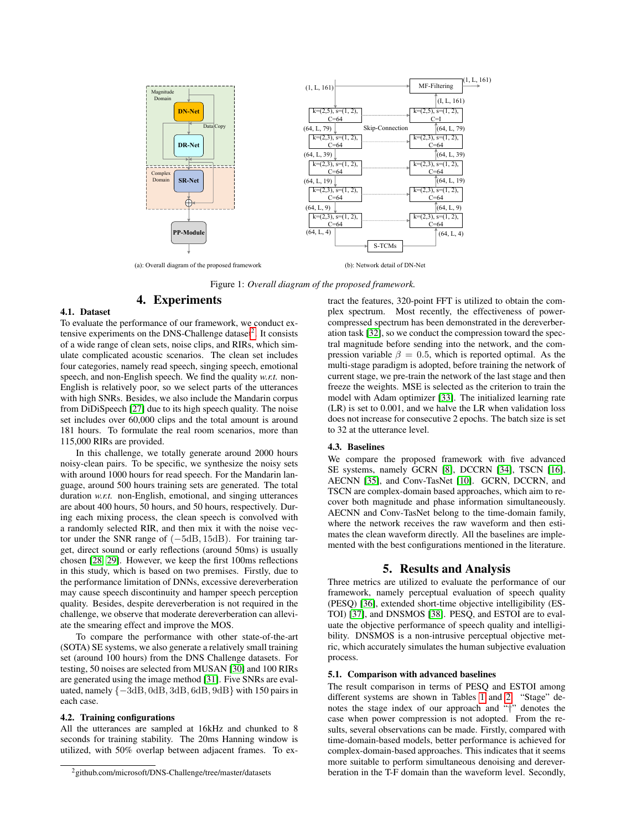<span id="page-2-2"></span>

(a): Overall diagram of the proposed framework (b): Network detail of DN-Net

Figure 1: *Overall diagram of the proposed framework.*

# 4. Experiments

# <span id="page-2-0"></span>4.1. Dataset

To evaluate the performance of our framework, we conduct ex-tensive experiments on the DNS-Challenge dataset<sup>[2](#page-2-3)</sup>. It consists of a wide range of clean sets, noise clips, and RIRs, which simulate complicated acoustic scenarios. The clean set includes four categories, namely read speech, singing speech, emotional speech, and non-English speech. We find the quality *w.r.t.* non-English is relatively poor, so we select parts of the utterances with high SNRs. Besides, we also include the Mandarin corpus from DiDiSpeech [\[27\]](#page-4-26) due to its high speech quality. The noise set includes over 60,000 clips and the total amount is around 181 hours. To formulate the real room scenarios, more than 115,000 RIRs are provided.

In this challenge, we totally generate around 2000 hours noisy-clean pairs. To be specific, we synthesize the noisy sets with around 1000 hours for read speech. For the Mandarin language, around 500 hours training sets are generated. The total duration *w.r.t.* non-English, emotional, and singing utterances are about 400 hours, 50 hours, and 50 hours, respectively. During each mixing process, the clean speech is convolved with a randomly selected RIR, and then mix it with the noise vector under the SNR range of (−5dB, 15dB). For training target, direct sound or early reflections (around 50ms) is usually chosen [\[28,](#page-4-27) [29\]](#page-4-28). However, we keep the first 100ms reflections in this study, which is based on two premises. Firstly, due to the performance limitation of DNNs, excessive dereverberation may cause speech discontinuity and hamper speech perception quality. Besides, despite dereverberation is not required in the challenge, we observe that moderate dereverberation can alleviate the smearing effect and improve the MOS.

To compare the performance with other state-of-the-art (SOTA) SE systems, we also generate a relatively small training set (around 100 hours) from the DNS Challenge datasets. For testing, 50 noises are selected from MUSAN [\[30\]](#page-4-29) and 100 RIRs are generated using the image method [\[31\]](#page-4-30). Five SNRs are evaluated, namely  $\{-3dB, 0dB, 3dB, 6dB, 9dB\}$  with 150 pairs in each case.

#### 4.2. Training configurations

All the utterances are sampled at 16kHz and chunked to 8 seconds for training stability. The 20ms Hanning window is utilized, with 50% overlap between adjacent frames. To extract the features, 320-point FFT is utilized to obtain the complex spectrum. Most recently, the effectiveness of powercompressed spectrum has been demonstrated in the dereverberation task [\[32\]](#page-4-31), so we conduct the compression toward the spectral magnitude before sending into the network, and the compression variable  $\beta = 0.5$ , which is reported optimal. As the multi-stage paradigm is adopted, before training the network of current stage, we pre-train the network of the last stage and then freeze the weights. MSE is selected as the criterion to train the model with Adam optimizer [\[33\]](#page-4-32). The initialized learning rate (LR) is set to 0.001, and we halve the LR when validation loss does not increase for consecutive 2 epochs. The batch size is set to 32 at the utterance level.

## 4.3. Baselines

We compare the proposed framework with five advanced SE systems, namely GCRN [\[8\]](#page-4-7), DCCRN [\[34\]](#page-4-33), TSCN [\[16\]](#page-4-15), AECNN [\[35\]](#page-4-34), and Conv-TasNet [\[10\]](#page-4-9). GCRN, DCCRN, and TSCN are complex-domain based approaches, which aim to recover both magnitude and phase information simultaneously. AECNN and Conv-TasNet belong to the time-domain family, where the network receives the raw waveform and then estimates the clean waveform directly. All the baselines are implemented with the best configurations mentioned in the literature.

## 5. Results and Analysis

<span id="page-2-1"></span>Three metrics are utilized to evaluate the performance of our framework, namely perceptual evaluation of speech quality (PESQ) [\[36\]](#page-4-35), extended short-time objective intelligibility (ES-TOI) [\[37\]](#page-4-36), and DNSMOS [\[38\]](#page-4-37). PESQ, and ESTOI are to evaluate the objective performance of speech quality and intelligibility. DNSMOS is a non-intrusive perceptual objective metric, which accurately simulates the human subjective evaluation process.

### <span id="page-2-4"></span>5.1. Comparison with advanced baselines

The result comparison in terms of PESQ and ESTOI among different systems are shown in Tables [1](#page-3-1) and [2.](#page-3-2) "Stage" denotes the stage index of our approach and "†" denotes the case when power compression is not adopted. From the results, several observations can be made. Firstly, compared with time-domain-based models, better performance is achieved for complex-domain-based approaches. This indicates that it seems more suitable to perform simultaneous denoising and dereverberation in the T-F domain than the waveform level. Secondly,

<span id="page-2-3"></span><sup>2</sup>github.com/microsoft/DNS-Challenge/tree/master/datasets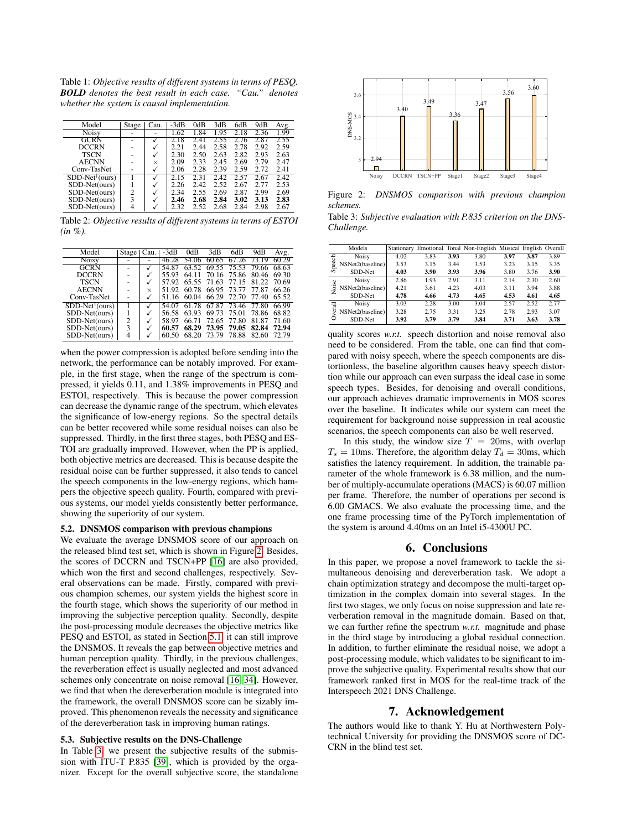<span id="page-3-1"></span>Table 1: *Objective results of different systems in terms of PESQ. BOLD denotes the best result in each case. "Cau." denotes whether the system is causal implementation.*

| Model                      | Stage | Cau.         | -3dB | 0dB  | 3dB  | 6dB  | 9dB  | Avg. |
|----------------------------|-------|--------------|------|------|------|------|------|------|
| <b>Noisy</b>               |       |              | 1.62 | 1.84 | 1.95 |      | 2.36 | 1.99 |
| GCRN                       |       |              |      | 2.4  | 2.55 | 2.76 | 2.87 | 2.55 |
| DCCRN                      |       | √            | 2.21 | 2.44 | 2.58 | 2.78 | 2.92 | 2.59 |
| <b>TSCN</b>                |       | √            | 2.30 | 2.50 | 2.63 | 2.82 | 2.93 | 2.63 |
| AECNN                      |       | $\times$     | 2.09 | 2.33 | 2.45 | 2.69 | 2.79 | 2.47 |
| Conv-TasNet                |       | $\checkmark$ | 2.06 | 2.28 | 2.39 | 2.59 | 2.72 | 2.41 |
| $SDD-Net^{\dagger} (ours)$ |       |              | 2.15 | 2.31 | 2.42 | 2.57 | 2.67 | 2.42 |
| SDD-Net(ours)              |       | $\checkmark$ | 2.26 | 2.42 | 2.52 | 2.67 | 2.77 | 2.53 |
| SDD-Net(ours)              | 2     | √            | 2.34 | 2.55 | 2.69 | 2.87 | 2.99 | 2.69 |
| SDD-Net(ours)              | 3     | √            | 2.46 | 2.68 | 2.84 | 3.02 | 3.13 | 2.83 |
| SDD-Net(ours)              | 4     |              | 2.32 | 2.52 | 2.68 | 2.84 | 2.98 | 2.67 |

<span id="page-3-2"></span>Table 2: *Objective results of different systems in terms of ESTOI (in %).*

| Model                      | Stage | Cau.     | -3dB  | 0dB   | 3dB   | 6dB         | 9dB     | Avg.  |
|----------------------------|-------|----------|-------|-------|-------|-------------|---------|-------|
| Noisy                      |       |          | 46.28 | 54.06 | 60.65 | 67.26       | -73. 19 | 60.29 |
| GCRN                       |       |          | 54 8  |       | 69.55 | 75.53       | 79.66   | 68.63 |
| <b>DCCRN</b>               |       |          | 55.93 | 64 11 |       | 70.16 75.86 | 80.46   | 69.30 |
| <b>TSCN</b>                |       |          | 57.92 | 65.55 | 71.63 | 77.15       | 81.22   | 70.69 |
| <b>AECNN</b>               |       | $\times$ | 51.92 | 60.78 | 66.95 | 73.77       | 77.87   | 66.26 |
| Conv-TasNet                |       |          | 51.16 | 60.04 | 66.29 | 72.70       | 77.40   | 65.52 |
| $SDD-Net^{\dagger} (ours)$ |       |          | 54.07 | 61.78 | 67.87 | 73.46       | 77.80   | 66.99 |
| SDD-Net(ours)              |       |          | 56.58 | 63.93 | 69.73 | 75.01       | 78.86   | 68.82 |
| SDD-Net(ours)              | 2     |          | 58.97 | 66.71 | 72.65 | 77.80       | 81.87   | 71.60 |
| SDD-Net(ours)              | 3     |          | 60.57 | 68.29 | 73.95 | 79.05       | 82.84   | 72.94 |
| SDD-Net(ours)              |       |          | 60.50 | 68.20 | 73.79 | 78.88       | 82.60   | 72.79 |

when the power compression is adopted before sending into the network, the performance can be notably improved. For example, in the first stage, when the range of the spectrum is compressed, it yields 0.11, and 1.38% improvements in PESQ and ESTOI, respectively. This is because the power compression can decrease the dynamic range of the spectrum, which elevates the significance of low-energy regions. So the spectral details can be better recovered while some residual noises can also be suppressed. Thirdly, in the first three stages, both PESQ and ES-TOI are gradually improved. However, when the PP is applied, both objective metrics are decreased. This is because despite the residual noise can be further suppressed, it also tends to cancel the speech components in the low-energy regions, which hampers the objective speech quality. Fourth, compared with previous systems, our model yields consistently better performance, showing the superiority of our system.

# 5.2. DNSMOS comparison with previous champions

We evaluate the average DNSMOS score of our approach on the released blind test set, which is shown in Figure [2.](#page-3-3) Besides, the scores of DCCRN and TSCN+PP [\[16\]](#page-4-15) are also provided, which won the first and second challenges, respectively. Several observations can be made. Firstly, compared with previous champion schemes, our system yields the highest score in the fourth stage, which shows the superiority of our method in improving the subjective perception quality. Secondly, despite the post-processing module decreases the objective metrics like PESQ and ESTOI, as stated in Section [5.1,](#page-2-4) it can still improve the DNSMOS. It reveals the gap between objective metrics and human perception quality. Thirdly, in the previous challenges, the reverberation effect is usually neglected and most advanced schemes only concentrate on noise removal [\[16,](#page-4-15) [34\]](#page-4-33). However, we find that when the dereverberation module is integrated into the framework, the overall DNSMOS score can be sizably improved. This phenomenon reveals the necessity and significance of the dereverberation task in improving human ratings. nizer. Except subscription of the overall subjective scores in the standalone of the overall subjective scores in the standalone of the overall subjective scores in the standalone of the state in the stage 3 stages of the

#### 5.3. Subjective results on the DNS-Challenge

In Table [3,](#page-3-4) we present the subjective results of the submis-sion with ITU-T P.835 [\[39\]](#page-4-38), which is provided by the orga-<br>nizer. Except for the overall subjective score, the standalone

<span id="page-3-3"></span>

Figure 2: *DNSMOS comparison with previous champion schemes.*

<span id="page-3-4"></span>Table 3: *Subjective evaluation with P.835 criterion on the DNS-Challenge.*

|        | $\cdot$          |      |      |      |                                                                |      |      |      |
|--------|------------------|------|------|------|----------------------------------------------------------------|------|------|------|
|        |                  |      |      |      |                                                                |      |      |      |
|        | Models           |      |      |      | Stationary Emotional Tonal Non-English Musical English Overall |      |      |      |
| Speech | Noisy            | 4.02 | 3.83 | 3.93 | 3.80                                                           | 3.97 | 3.87 | 3.89 |
|        | NSNet2(baseline) | 3.53 | 3.15 | 3.44 | 3.53                                                           | 3.23 | 3.15 | 3.35 |
|        | SDD-Net          | 4.03 | 3.90 | 3.93 | 3.96                                                           | 3.80 | 3.76 | 3.90 |
| æ<br>Ş | Noisy            | 2.86 | 1.93 | 2.91 | 3.11                                                           | 2.14 | 2.30 | 2.60 |
|        | NSNet2(baseline) | 4.21 | 3.61 | 4.23 | 4.03                                                           | 3.11 | 3.94 | 3.88 |
|        | SDD-Net          | 4.78 | 4.66 | 4.73 | 4.65                                                           | 4.53 | 4.61 | 4.65 |
| verall | Noisy            | 3.03 | 2.28 | 3.00 | 3.04                                                           | 2.57 | 2.52 | 2.77 |
|        | NSNet2(baseline) | 3.28 | 2.75 | 3.31 | 3.25                                                           | 2.78 | 2.93 | 3.07 |
|        | SDD-Net          | 3.92 | 3.79 | 3.79 | 3.84                                                           | 3.71 | 3.63 | 3.78 |
|        |                  |      |      |      |                                                                |      |      |      |

quality scores *w.r.t.* speech distortion and noise removal also need to be considered. From the table, one can find that compared with noisy speech, where the speech components are distortionless, the baseline algorithm causes heavy speech distortion while our approach can even surpass the ideal case in some speech types. Besides, for denoising and overall conditions, our approach achieves dramatic improvements in MOS scores over the baseline. It indicates while our system can meet the requirement for background noise suppression in real acoustic scenarios, the speech components can also be well reserved.

In this study, the window size  $T = 20$ ms, with overlap  $T_s = 10$ ms. Therefore, the algorithm delay  $T_d = 30$ ms, which satisfies the latency requirement. In addition, the trainable parameter of the whole framework is 6.38 million, and the number of multiply-accumulate operations (MACS) is 60.07 million per frame. Therefore, the number of operations per second is 6.00 GMACS. We also evaluate the processing time, and the one frame processing time of the PyTorch implementation of the system is around 4.40ms on an Intel i5-4300U PC.

## 6. Conclusions

<span id="page-3-0"></span>In this paper, we propose a novel framework to tackle the simultaneous denoising and dereverberation task. We adopt a chain optimization strategy and decompose the multi-target optimization in the complex domain into several stages. In the first two stages, we only focus on noise suppression and late reverberation removal in the magnitude domain. Based on that, we can further refine the spectrum *w.r.t.* magnitude and phase in the third stage by introducing a global residual connection. In addition, to further eliminate the residual noise, we adopt a post-processing module, which validates to be significant to improve the subjective quality. Experimental results show that our framework ranked first in MOS for the real-time track of the Interspeech 2021 DNS Challenge.

# 7. Acknowledgement

The authors would like to thank Y. Hu at Northwestern Polytechnical University for providing the DNSMOS score of DC-CRN in the blind test set.